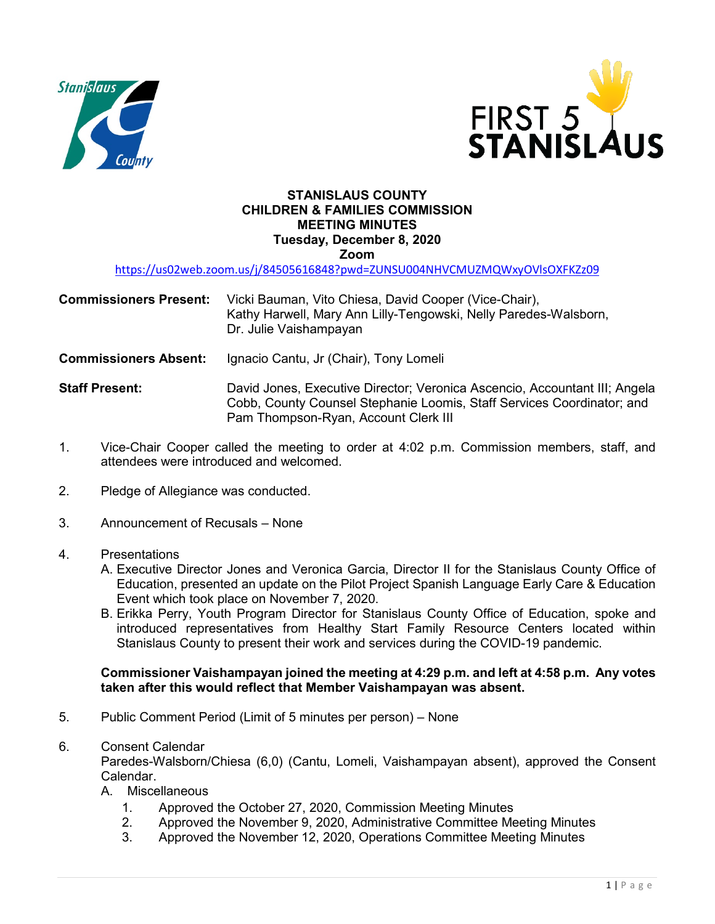



#### **STANISLAUS COUNTY CHILDREN & FAMILIES COMMISSION MEETING MINUTES Tuesday, December 8, 2020 Zoom**

<https://us02web.zoom.us/j/84505616848?pwd=ZUNSU004NHVCMUZMQWxyOVlsOXFKZz09>

| <b>Commissioners Present:</b> | Vicki Bauman, Vito Chiesa, David Cooper (Vice-Chair),<br>Kathy Harwell, Mary Ann Lilly-Tengowski, Nelly Paredes-Walsborn,<br>Dr. Julie Vaishampayan |
|-------------------------------|-----------------------------------------------------------------------------------------------------------------------------------------------------|
| <b>Commissioners Absent:</b>  | Ignacio Cantu, Jr (Chair), Tony Lomeli                                                                                                              |

**Staff Present:** David Jones, Executive Director; Veronica Ascencio, Accountant III; Angela Cobb, County Counsel Stephanie Loomis, Staff Services Coordinator; and Pam Thompson-Ryan, Account Clerk III

- 1. Vice-Chair Cooper called the meeting to order at 4:02 p.m. Commission members, staff, and attendees were introduced and welcomed.
- 2. Pledge of Allegiance was conducted.
- 3. Announcement of Recusals None
- 4. Presentations
	- A. Executive Director Jones and Veronica Garcia, Director II for the Stanislaus County Office of Education, presented an update on the Pilot Project Spanish Language Early Care & Education Event which took place on November 7, 2020.
	- B. Erikka Perry, Youth Program Director for Stanislaus County Office of Education, spoke and introduced representatives from Healthy Start Family Resource Centers located within Stanislaus County to present their work and services during the COVID-19 pandemic.

#### **Commissioner Vaishampayan joined the meeting at 4:29 p.m. and left at 4:58 p.m. Any votes taken after this would reflect that Member Vaishampayan was absent.**

- 5. Public Comment Period (Limit of 5 minutes per person) None
- 6. Consent Calendar

Paredes-Walsborn/Chiesa (6,0) (Cantu, Lomeli, Vaishampayan absent), approved the Consent Calendar.

- A. Miscellaneous
	- 1. Approved the October 27, 2020, Commission Meeting Minutes
	- 2. Approved the November 9, 2020, Administrative Committee Meeting Minutes
	- 3. Approved the November 12, 2020, Operations Committee Meeting Minutes